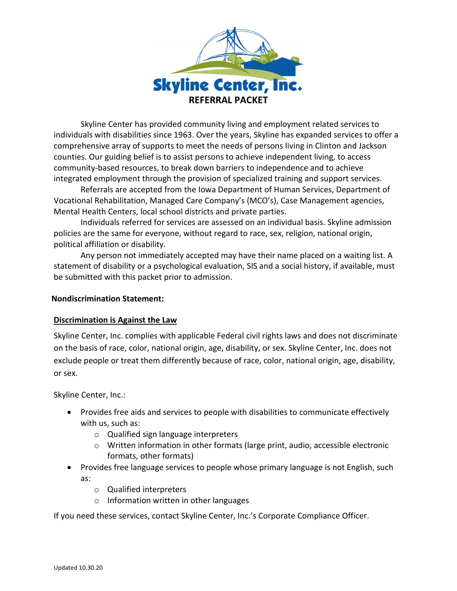

Skyline Center has provided community living and employment related services to individuals with disabilities since 1963. Over the years, Skyline has expanded services to offer a comprehensive array of supports to meet the needs of persons living in Clinton and Jackson counties. Our guiding belief is to assist persons to achieve independent living, to access community-based resources, to break down barriers to independence and to achieve integrated employment through the provision of specialized training and support services.

Referrals are accepted from the Iowa Department of Human Services, Department of Vocational Rehabilitation, Managed Care Company's (MCO's), Case Management agencies, Mental Health Centers, local school districts and private parties.

Individuals referred for services are assessed on an individual basis. Skyline admission policies are the same for everyone, without regard to race, sex, religion, national origin, political affiliation or disability.

Any person not immediately accepted may have their name placed on a waiting list. A statement of disability or a psychological evaluation, SIS and a social history, if available, must be submitted with this packet prior to admission.

### **Nondiscrimination Statement:**

# **Discrimination is Against the Law**

Skyline Center, Inc. complies with applicable Federal civil rights laws and does not discriminate on the basis of race, color, national origin, age, disability, or sex. Skyline Center, Inc. does not exclude people or treat them differently because of race, color, national origin, age, disability, or sex.

Skyline Center, Inc.:

- Provides free aids and services to people with disabilities to communicate effectively with us, such as:
	- o Qualified sign language interpreters
	- $\circ$  Written information in other formats (large print, audio, accessible electronic formats, other formats)
- Provides free language services to people whose primary language is not English, such as:
	- o Qualified interpreters
	- o Information written in other languages

If you need these services, contact Skyline Center, Inc.'s Corporate Compliance Officer.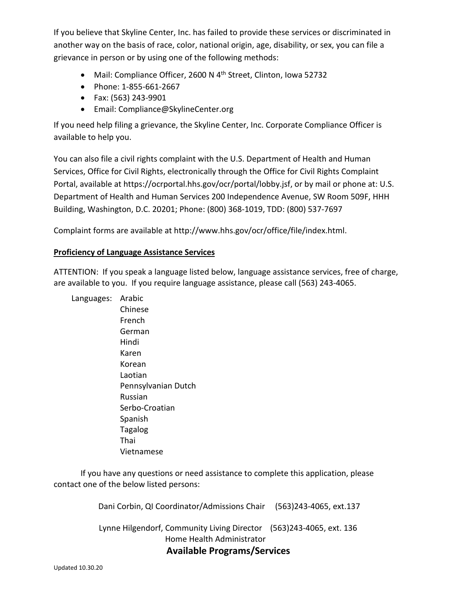If you believe that Skyline Center, Inc. has failed to provide these services or discriminated in another way on the basis of race, color, national origin, age, disability, or sex, you can file a grievance in person or by using one of the following methods:

- Mail: Compliance Officer, 2600 N  $4<sup>th</sup>$  Street, Clinton, Iowa 52732
- Phone: 1-855-661-2667
- Fax: (563) 243-9901
- Email: Compliance@SkylineCenter.org

If you need help filing a grievance, the Skyline Center, Inc. Corporate Compliance Officer is available to help you.

You can also file a civil rights complaint with the U.S. Department of Health and Human Services, Office for Civil Rights, electronically through the Office for Civil Rights Complaint Portal, available at https://ocrportal.hhs.gov/ocr/portal/lobby.jsf, or by mail or phone at: U.S. Department of Health and Human Services 200 Independence Avenue, SW Room 509F, HHH Building, Washington, D.C. 20201; Phone: (800) 368-1019, TDD: (800) 537-7697

Complaint forms are available at http://www.hhs.gov/ocr/office/file/index.html.

## **Proficiency of Language Assistance Services**

ATTENTION: If you speak a language listed below, language assistance services, free of charge, are available to you. If you require language assistance, please call (563) 243-4065.

Languages: Arabic Chinese French German Hindi Karen Korean Laotian Pennsylvanian Dutch Russian Serbo-Croatian Spanish Tagalog Thai Vietnamese

If you have any questions or need assistance to complete this application, please contact one of the below listed persons:

Dani Corbin, QI Coordinator/Admissions Chair (563)243-4065, ext.137

 Lynne Hilgendorf, Community Living Director (563)243-4065, ext. 136 Home Health Administrator **Available Programs/Services**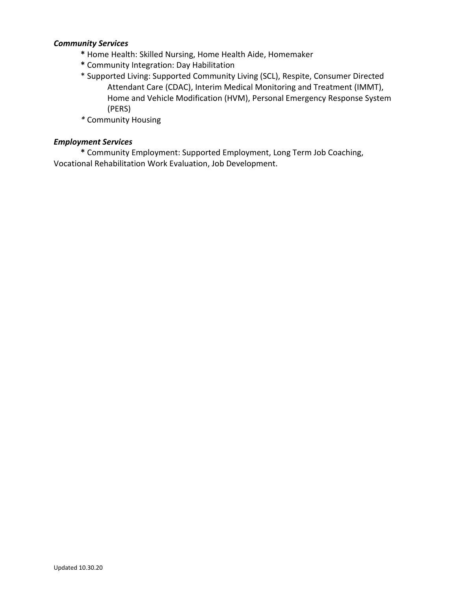### *Community Services*

- **\*** Home Health: Skilled Nursing, Home Health Aide, Homemaker
- **\*** Community Integration: Day Habilitation
- \* Supported Living: Supported Community Living (SCL), Respite, Consumer Directed Attendant Care (CDAC), Interim Medical Monitoring and Treatment (IMMT), Home and Vehicle Modification (HVM), Personal Emergency Response System (PERS)
- *\** Community Housing

#### *Employment Services*

**\*** Community Employment: Supported Employment, Long Term Job Coaching, Vocational Rehabilitation Work Evaluation, Job Development.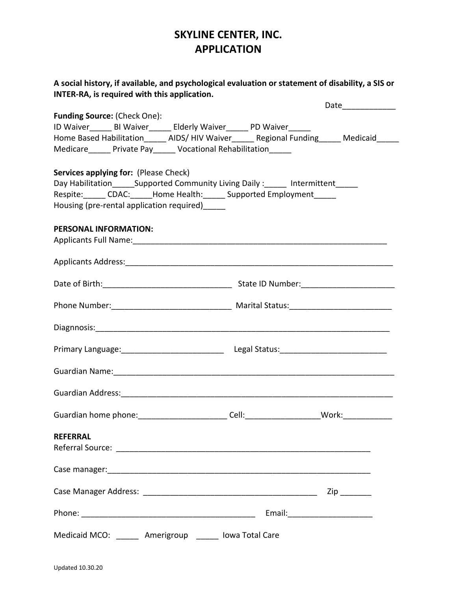# **SKYLINE CENTER, INC. APPLICATION**

|                                                                                                                | Date____________    |
|----------------------------------------------------------------------------------------------------------------|---------------------|
| <b>Funding Source: (Check One):</b>                                                                            |                     |
| ID Waiver_______ BI Waiver_______ Elderly Waiver______ PD Waiver______                                         |                     |
| Home Based Habilitation______ AIDS/HIV Waiver______ Regional Funding_____ Medicaid_____                        |                     |
| Medicare______ Private Pay______ Vocational Rehabilitation_____                                                |                     |
| Services applying for: (Please Check)                                                                          |                     |
| Day Habilitation________Supported Community Living Daily:_______ Intermittent______                            |                     |
| Respite:______ CDAC:_____Home Health:______ Supported Employment_____                                          |                     |
| Housing (pre-rental application required) ______                                                               |                     |
| PERSONAL INFORMATION:                                                                                          |                     |
| Applicants Full Name: 1990 and 200 and 200 and 200 and 200 and 200 and 200 and 200 and 200 and 200 and 200 and |                     |
|                                                                                                                |                     |
|                                                                                                                |                     |
|                                                                                                                |                     |
|                                                                                                                |                     |
|                                                                                                                |                     |
| Guardian Name: 1988 - 1999 - 1999 - 1999 - 1999 - 1999 - 1999 - 1999 - 1999 - 1999 - 1999 - 1999 - 1999 - 199  |                     |
|                                                                                                                |                     |
| Guardian home phone: __________________________Cell: ________________________Work: ________________            |                     |
| <b>REFERRAL</b>                                                                                                |                     |
|                                                                                                                |                     |
|                                                                                                                |                     |
|                                                                                                                | $\mathsf{Zip} \_\_$ |
|                                                                                                                |                     |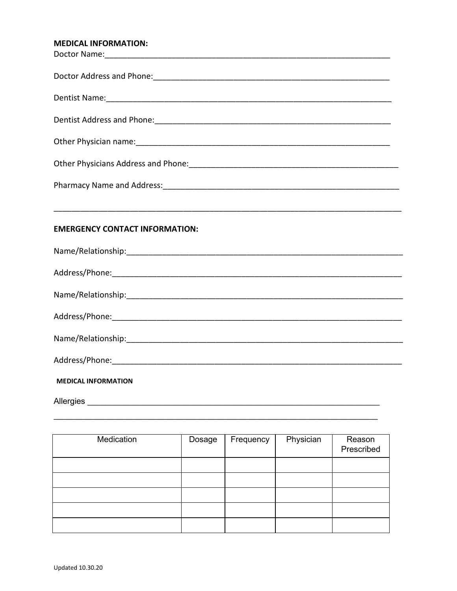# MEDICAL INFORMATION.

| 2142 111 911112 11911                 |
|---------------------------------------|
|                                       |
|                                       |
|                                       |
|                                       |
|                                       |
|                                       |
|                                       |
|                                       |
| <b>EMERGENCY CONTACT INFORMATION:</b> |
|                                       |
|                                       |
|                                       |
|                                       |
|                                       |
|                                       |
| <b>MEDICAL INFORMATION</b>            |
|                                       |

| Medication | Dosage | Frequency | Physician | Reason<br>Prescribed |
|------------|--------|-----------|-----------|----------------------|
|            |        |           |           |                      |
|            |        |           |           |                      |
|            |        |           |           |                      |
|            |        |           |           |                      |
|            |        |           |           |                      |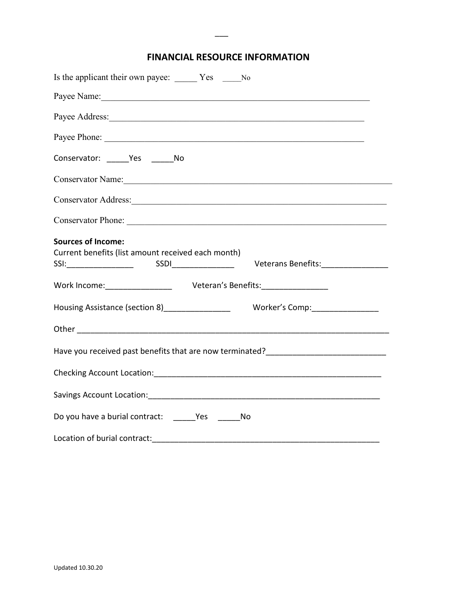# **FINANCIAL RESOURCE INFORMATION**

 $\overline{\phantom{a}}$ 

| Is the applicant their own payee: _______ Yes _______ No                                                                                                                                                                       |
|--------------------------------------------------------------------------------------------------------------------------------------------------------------------------------------------------------------------------------|
| Payee Name: 1988 Manual Manual Manual Manual Manual Manual Manual Manual Manual Manual Manual Manual Manual Ma                                                                                                                 |
|                                                                                                                                                                                                                                |
| Payee Phone:                                                                                                                                                                                                                   |
| Conservator: Yes No                                                                                                                                                                                                            |
| Conservator Name: Name and Solid Conservator Name and Solid Conservation of the Conservation of the Conservation of the Conservation of the Conservation of the Conservation of the Conservation of the Conservation of the Co |
| Conservator Address: Universe of the Conservator Address:                                                                                                                                                                      |
|                                                                                                                                                                                                                                |
| <b>Sources of Income:</b><br>Current benefits (list amount received each month)<br>Veterans Benefits:________________                                                                                                          |
| Work Income: ___________________ Veteran's Benefits: ___________________                                                                                                                                                       |
| Housing Assistance (section 8)_________________<br>Worker's Comp:__________________                                                                                                                                            |
|                                                                                                                                                                                                                                |
| Have you received past benefits that are now terminated?________________________                                                                                                                                               |
|                                                                                                                                                                                                                                |
|                                                                                                                                                                                                                                |
|                                                                                                                                                                                                                                |
| Location of burial contract:                                                                                                                                                                                                   |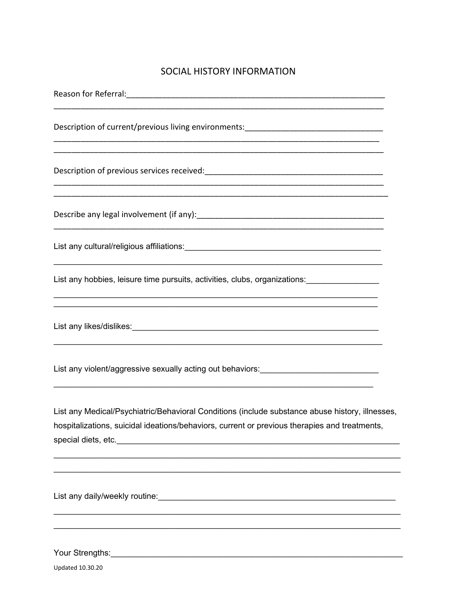# SOCIAL HISTORY INFORMATION

| Description of current/previous living environments:____________________________<br><u> 1999 - Jan James James James James James James James James James James James James James James James James</u>                                                                                                                                               |
|------------------------------------------------------------------------------------------------------------------------------------------------------------------------------------------------------------------------------------------------------------------------------------------------------------------------------------------------------|
|                                                                                                                                                                                                                                                                                                                                                      |
|                                                                                                                                                                                                                                                                                                                                                      |
|                                                                                                                                                                                                                                                                                                                                                      |
| <u> 1989 - Johann Harry Harry Harry Harry Harry Harry Harry Harry Harry Harry Harry Harry Harry Harry Harry Harry</u><br>List any hobbies, leisure time pursuits, activities, clubs, organizations: ________________________<br><u> 1999 - Johann John Harry Harry Harry Harry Harry Harry Harry Harry Harry Harry Harry Harry Harry Harry Harry</u> |
| <u> 1989 - Johann John Harry Harry Harry Harry Harry Harry Harry Harry Harry Harry Harry Harry Harry Harry Harry</u>                                                                                                                                                                                                                                 |
| List any violent/aggressive sexually acting out behaviors: _____________________                                                                                                                                                                                                                                                                     |
| List any Medical/Psychiatric/Behavioral Conditions (include substance abuse history, illnesses,<br>hospitalizations, suicidal ideations/behaviors, current or previous therapies and treatments,                                                                                                                                                     |
| List any daily/weekly routine:<br><u>List</u> any daily/weekly routine:                                                                                                                                                                                                                                                                              |

Your Strengths: <u>www.common.common.common.common.common.com</u>

Updated 10.30.20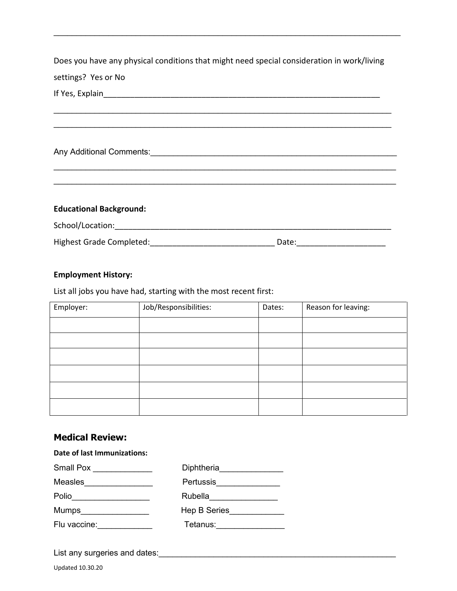Does you have any physical conditions that might need special consideration in work/living settings? Yes or No

 $\_$  , and the set of the set of the set of the set of the set of the set of the set of the set of the set of the set of the set of the set of the set of the set of the set of the set of the set of the set of the set of th \_\_\_\_\_\_\_\_\_\_\_\_\_\_\_\_\_\_\_\_\_\_\_\_\_\_\_\_\_\_\_\_\_\_\_\_\_\_\_\_\_\_\_\_\_\_\_\_\_\_\_\_\_\_\_\_\_\_\_\_\_\_\_\_\_\_\_\_\_\_\_\_\_\_

 $\_$  , and the set of the set of the set of the set of the set of the set of the set of the set of the set of the set of the set of the set of the set of the set of the set of the set of the set of the set of the set of th \_\_\_\_\_\_\_\_\_\_\_\_\_\_\_\_\_\_\_\_\_\_\_\_\_\_\_\_\_\_\_\_\_\_\_\_\_\_\_\_\_\_\_\_\_\_\_\_\_\_\_\_\_\_\_\_\_\_\_\_\_\_\_\_\_\_\_\_\_\_\_\_\_\_\_

 $\mathcal{L}_\text{max}$  , and the contribution of the contribution of the contribution of the contribution of the contribution of the contribution of the contribution of the contribution of the contribution of the contribution of t

If Yes, Explain

Any Additional Comments:\_\_\_\_\_\_\_\_\_\_\_\_\_\_\_\_\_\_\_\_\_\_\_\_\_\_\_\_\_\_\_\_\_\_\_\_\_\_\_\_\_\_\_\_\_\_\_\_\_\_\_\_\_\_

**Educational Background:**

School/Location:\_\_\_\_\_\_\_\_\_\_\_\_\_\_\_\_\_\_\_\_\_\_\_\_\_\_\_\_\_\_\_\_\_\_\_\_\_\_\_\_\_\_\_\_\_\_\_\_\_\_\_\_\_\_\_\_\_\_\_\_\_\_

Highest Grade Completed: \_\_\_\_\_\_\_\_\_\_\_\_\_\_\_\_\_\_\_\_\_\_\_\_\_\_\_\_\_\_\_\_\_\_\_ Date: \_\_\_\_\_\_\_\_\_\_\_\_\_

#### **Employment History:**

List all jobs you have had, starting with the most recent first:

| Employer: | Job/Responsibilities: | Dates: | Reason for leaving: |
|-----------|-----------------------|--------|---------------------|
|           |                       |        |                     |
|           |                       |        |                     |
|           |                       |        |                     |
|           |                       |        |                     |
|           |                       |        |                     |
|           |                       |        |                     |

## **Medical Review:**

**Date of last Immunizations:**

| Diphtheria          |
|---------------------|
| <b>Pertussis</b>    |
| Rubella             |
| <b>Hep B Series</b> |
| Tetanus:            |
|                     |

List any surgeries and dates:\_\_\_\_\_\_\_\_\_\_\_\_\_\_\_\_\_\_\_\_\_\_\_\_\_\_\_\_\_\_\_\_\_\_\_\_\_\_\_\_\_\_\_\_\_\_\_\_\_\_\_\_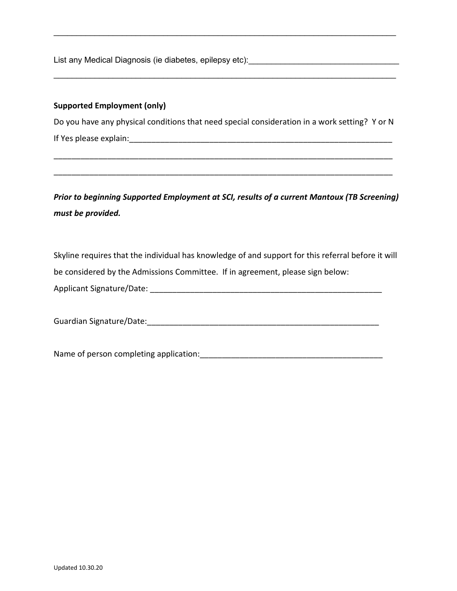List any Medical Diagnosis (ie diabetes, epilepsy etc):

#### **Supported Employment (only)**

Do you have any physical conditions that need special consideration in a work setting? Y or N If Yes please explain: The state of the state of the state of the state of the state of the state of the state of the state of the state of the state of the state of the state of the state of the state of the state of the

\_\_\_\_\_\_\_\_\_\_\_\_\_\_\_\_\_\_\_\_\_\_\_\_\_\_\_\_\_\_\_\_\_\_\_\_\_\_\_\_\_\_\_\_\_\_\_\_\_\_\_\_\_\_\_\_\_\_\_\_\_\_\_\_\_\_\_\_\_\_\_\_\_\_\_\_

\_\_\_\_\_\_\_\_\_\_\_\_\_\_\_\_\_\_\_\_\_\_\_\_\_\_\_\_\_\_\_\_\_\_\_\_\_\_\_\_\_\_\_\_\_\_\_\_\_\_\_\_\_\_\_\_\_\_\_\_\_\_\_\_\_\_\_\_\_\_\_\_\_\_\_\_

 $\mathcal{L}_\text{max}$  , and the set of the set of the set of the set of the set of the set of the set of the set of the set of the set of the set of the set of the set of the set of the set of the set of the set of the set of the

 $\mathcal{L}_\text{max}$  , and the set of the set of the set of the set of the set of the set of the set of the set of the set of the set of the set of the set of the set of the set of the set of the set of the set of the set of the

*Prior to beginning Supported Employment at SCI, results of a current Mantoux (TB Screening) must be provided.*

Skyline requires that the individual has knowledge of and support for this referral before it will be considered by the Admissions Committee. If in agreement, please sign below:

Applicant Signature/Date: \_\_\_\_\_\_\_\_\_\_\_\_\_\_\_\_\_\_\_\_\_\_\_\_\_\_\_\_\_\_\_\_\_\_\_\_\_\_\_\_\_\_\_\_\_\_\_\_\_\_\_\_

Guardian Signature/Date:\_\_\_\_\_\_\_\_\_\_\_\_\_\_\_\_\_\_\_\_\_\_\_\_\_\_\_\_\_\_\_\_\_\_\_\_\_\_\_\_\_\_\_\_\_\_\_\_\_\_\_\_

Name of person completing application:\_\_\_\_\_\_\_\_\_\_\_\_\_\_\_\_\_\_\_\_\_\_\_\_\_\_\_\_\_\_\_\_\_\_\_\_\_\_\_\_\_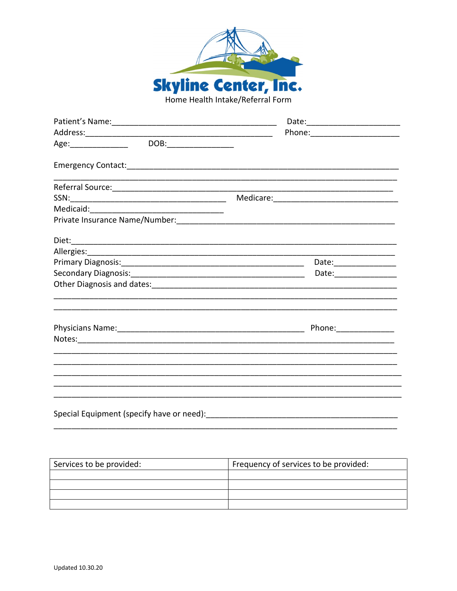

| Age: ________________  DOB:_________________ |                                                                                                                      |
|----------------------------------------------|----------------------------------------------------------------------------------------------------------------------|
|                                              |                                                                                                                      |
|                                              | <u> 1989 - Johann Barn, mars and deutscher Stadt and deutscher Stadt and deutscher Stadt and deutscher Stadt and</u> |
|                                              |                                                                                                                      |
|                                              |                                                                                                                      |
|                                              |                                                                                                                      |
|                                              |                                                                                                                      |
|                                              |                                                                                                                      |
|                                              | Date:__________________                                                                                              |
|                                              |                                                                                                                      |
|                                              |                                                                                                                      |
|                                              |                                                                                                                      |
|                                              | Phone: _______________                                                                                               |
|                                              |                                                                                                                      |
|                                              | <u> 1989 - Andrea Barbara, Amerikaansk politiker (d. 1989)</u>                                                       |
|                                              |                                                                                                                      |
|                                              |                                                                                                                      |
|                                              |                                                                                                                      |
| Special Equipment (specify have or need):    |                                                                                                                      |

Services to be provided: Frequency of services to be provided: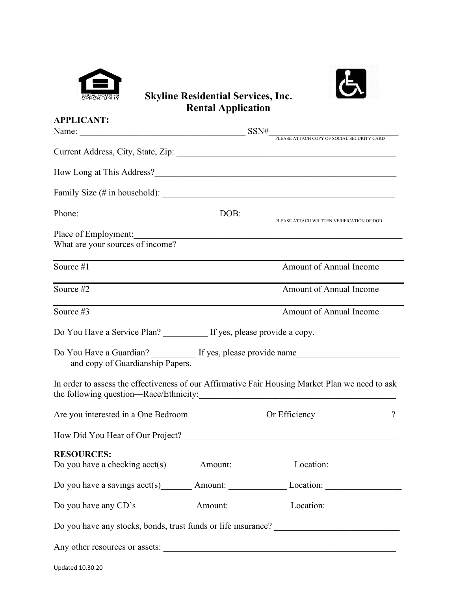



# **Skyline Residential Services, Inc. Rental Application**

| <b>APPLICANT:</b>                                          |                                                                                                                                                                                                                                |  |
|------------------------------------------------------------|--------------------------------------------------------------------------------------------------------------------------------------------------------------------------------------------------------------------------------|--|
|                                                            | Name: $\frac{SSN\#}{P_{\text{LEASE ATTACH COPY OF SOCIAL SECURITY CARD}}$                                                                                                                                                      |  |
|                                                            | Current Address, City, State, Zip: 2008. 2009. 2010. 2010. 2010. 2010. 2010. 2010. 2010. 2010. 2010. 2010. 201                                                                                                                 |  |
|                                                            |                                                                                                                                                                                                                                |  |
|                                                            |                                                                                                                                                                                                                                |  |
|                                                            |                                                                                                                                                                                                                                |  |
| Place of Employment:<br>What are your sources of income?   | <u> 1989 - Johann John Stein, markin film yn y brenin y brenin y brenin y brenin y brenin y brenin y brenin y br</u>                                                                                                           |  |
| Source #1                                                  | Amount of Annual Income                                                                                                                                                                                                        |  |
| Source #2                                                  | Amount of Annual Income                                                                                                                                                                                                        |  |
| Source #3                                                  | Amount of Annual Income                                                                                                                                                                                                        |  |
| Do You Have a Service Plan? If yes, please provide a copy. |                                                                                                                                                                                                                                |  |
| and copy of Guardianship Papers.                           | Do You Have a Guardian? If yes, please provide name                                                                                                                                                                            |  |
|                                                            | In order to assess the effectiveness of our Affirmative Fair Housing Market Plan we need to ask                                                                                                                                |  |
|                                                            | Are you interested in a One Bedroom Or Efficiency Communication of the state of the Bedroom Communication of the Second State of the Second State of the Second State of the Second State of the Second State of the Second St |  |
|                                                            |                                                                                                                                                                                                                                |  |
| <b>RESOURCES:</b>                                          | Do you have a checking acct(s) __________ Amount: _____________________Location: _____________________________                                                                                                                 |  |
|                                                            | Do you have a savings $\text{acct}(s)$ Amount: Location: Location:                                                                                                                                                             |  |
|                                                            |                                                                                                                                                                                                                                |  |
|                                                            |                                                                                                                                                                                                                                |  |
|                                                            | Any other resources or assets:                                                                                                                                                                                                 |  |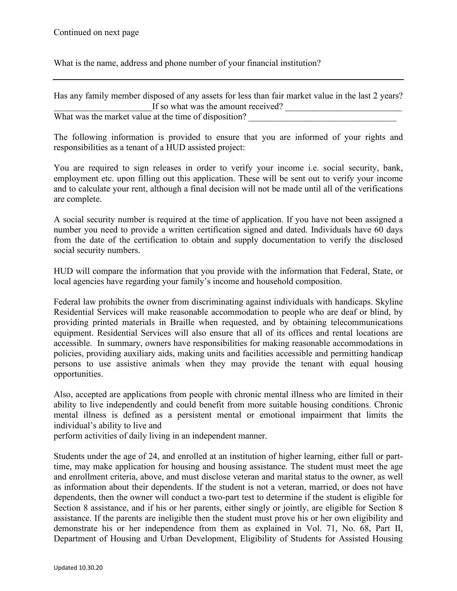What is the name, address and phone number of your financial institution?

| Has any family member disposed of any assets for less than fair market value in the last 2 years? |  |
|---------------------------------------------------------------------------------------------------|--|
| If so what was the amount received?                                                               |  |
| What was the market value at the time of disposition?                                             |  |

The following information is provided to ensure that you are informed of your rights and responsibilities as a tenant of a HUD assisted project:

You are required to sign releases in order to verify your income i.e. social security, bank, employment etc. upon filling out this application. These will be sent out to verify your income and to calculate your rent, although a final decision will not be made until all of the verifications are complete.

A social security number is required at the time of application. If you have not been assigned a number you need to provide a written certification signed and dated. Individuals have 60 days from the date of the certification to obtain and supply documentation to verify the disclosed social security numbers.

HUD will compare the information that you provide with the information that Federal, State, or local agencies have regarding your family's income and household composition.

Federal law prohibits the owner from discriminating against individuals with handicaps. Skyline Residential Services will make reasonable accommodation to people who are deaf or blind, by providing printed materials in Braille when requested, and by obtaining telecommunications equipment. Residential Services will also ensure that all of its offices and rental locations are accessible. In summary, owners have responsibilities for making reasonable accommodations in policies, providing auxiliary aids, making units and facilities accessible and permitting handicap persons to use assistive animals when they may provide the tenant with equal housing opportunities.

Also, accepted are applications from people with chronic mental illness who are limited in their ability to live independently and could benefit from more suitable housing conditions. Chronic mental illness is defined as a persistent mental or emotional impairment that limits the individual's ability to live and

perform activities of daily living in an independent manner.

Students under the age of 24, and enrolled at an institution of higher learning, either full or parttime, may make application for housing and housing assistance. The student must meet the age and enrollment criteria, above, and must disclose veteran and marital status to the owner, as well as information about their dependents. If the student is not a veteran, married, or does not have dependents, then the owner will conduct a two-part test to determine if the student is eligible for Section 8 assistance, and if his or her parents, either singly or jointly, are eligible for Section 8 assistance. If the parents are ineligible then the student must prove his or her own eligibility and demonstrate his or her independence from them as explained in Vol. 71, No. 68, Part II, Department of Housing and Urban Development, Eligibility of Students for Assisted Housing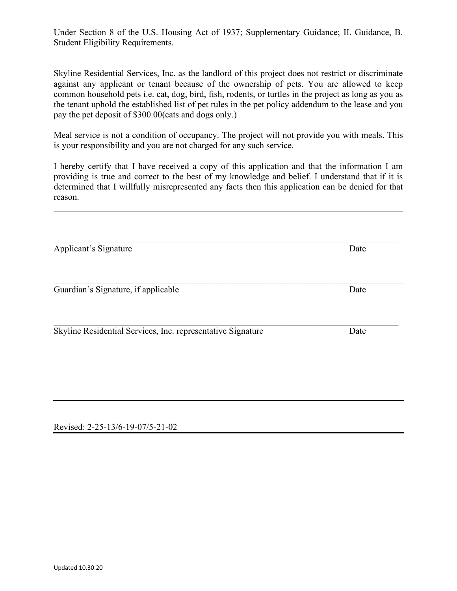Under Section 8 of the U.S. Housing Act of 1937; Supplementary Guidance; II. Guidance, B. Student Eligibility Requirements.

Skyline Residential Services, Inc. as the landlord of this project does not restrict or discriminate against any applicant or tenant because of the ownership of pets. You are allowed to keep common household pets i.e. cat, dog, bird, fish, rodents, or turtles in the project as long as you as the tenant uphold the established list of pet rules in the pet policy addendum to the lease and you pay the pet deposit of \$300.00(cats and dogs only.)

Meal service is not a condition of occupancy. The project will not provide you with meals. This is your responsibility and you are not charged for any such service.

I hereby certify that I have received a copy of this application and that the information I am providing is true and correct to the best of my knowledge and belief. I understand that if it is determined that I willfully misrepresented any facts then this application can be denied for that reason.

\_\_\_\_\_\_\_\_\_\_\_\_\_\_\_\_\_\_\_\_\_\_\_\_\_\_\_\_\_\_\_\_\_\_\_\_\_\_\_\_\_\_\_\_\_\_\_\_\_\_\_\_\_\_\_\_\_\_\_\_\_\_\_\_\_\_\_\_\_\_\_\_\_\_\_\_\_

Applicant's Signature Date

\_\_\_\_\_\_\_\_\_\_\_\_\_\_\_\_\_\_\_\_\_\_\_\_\_\_\_\_\_\_\_\_\_\_\_\_\_\_\_\_\_\_\_\_\_\_\_\_\_\_\_\_\_\_\_\_\_\_\_\_\_\_\_\_\_\_\_\_\_\_\_\_\_\_\_\_\_ Skyline Residential Services, Inc. representative Signature Date

Revised: 2-25-13/6-19-07/5-21-02

\_\_\_\_\_\_\_\_\_\_\_\_\_\_\_\_\_\_\_\_\_\_\_\_\_\_\_\_\_\_\_\_\_\_\_\_\_\_\_\_\_\_\_\_\_\_\_\_\_\_\_\_\_\_\_\_\_\_\_\_\_\_\_\_\_\_\_\_\_\_\_\_\_\_\_\_\_\_ Guardian's Signature, if applicable Date